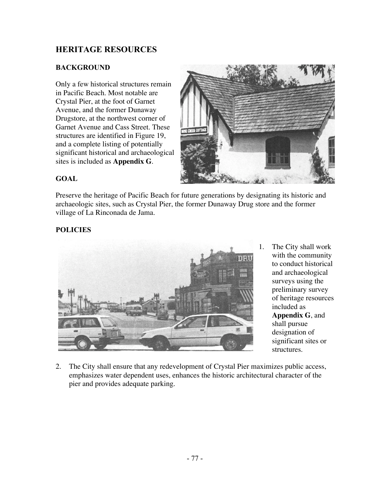## **HERITAGE RESOURCES**

#### **BACKGROUND**

Only a few historical structures remain in Pacific Beach. Most notable are Crystal Pier, at the foot of Garnet Avenue, and the former Dunaway Drugstore, at the northwest corner of Garnet Avenue and Cass Street. These structures are identified in Figure 19, and a complete listing of potentially significant historical and archaeological sites is included as **Appendix G**.



#### **GOAL**

Preserve the heritage of Pacific Beach for future generations by designating its historic and archaeologic sites, such as Crystal Pier, the former Dunaway Drug store and the former village of La Rinconada de Jama.

### **POLICIES**



- 1. The City shall work with the community to conduct historical and archaeological surveys using the preliminary survey of heritage resources included as **Appendix G**, and shall pursue designation of significant sites or structures.
- 2. The City shall ensure that any redevelopment of Crystal Pier maximizes public access, emphasizes water dependent uses, enhances the historic architectural character of the pier and provides adequate parking.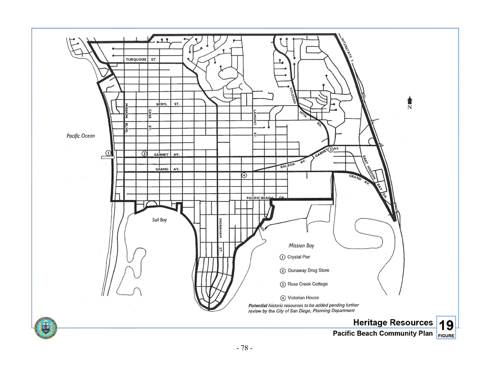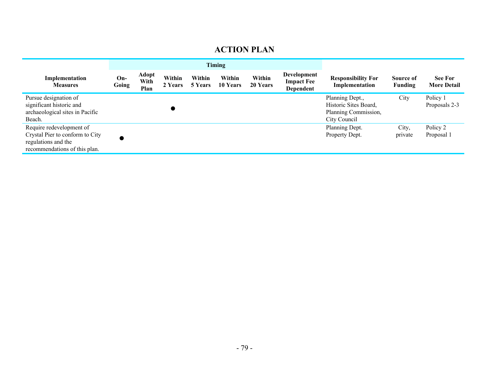# **ACTION PLAN**

|                                                                                                                     | <b>Timing</b>  |                              |                   |                   |                    |                    |                                               |                                                                                  |                      |                                      |
|---------------------------------------------------------------------------------------------------------------------|----------------|------------------------------|-------------------|-------------------|--------------------|--------------------|-----------------------------------------------|----------------------------------------------------------------------------------|----------------------|--------------------------------------|
| Implementation<br><b>Measures</b>                                                                                   | $On-$<br>Going | <b>Adopt</b><br>With<br>Plan | Within<br>2 Years | Within<br>5 Years | Within<br>10 Years | Within<br>20 Years | Development<br><b>Impact Fee</b><br>Dependent | <b>Responsibility For</b><br>Implementation                                      | Source of<br>Funding | <b>See For</b><br><b>More Detail</b> |
| Pursue designation of<br>significant historic and<br>archaeological sites in Pacific<br>Beach.                      |                |                              |                   |                   |                    |                    |                                               | Planning Dept.,<br>Historic Sites Board,<br>Planning Commission,<br>City Council | City                 | Policy 1<br>Proposals 2-3            |
| Require redevelopment of<br>Crystal Pier to conform to City<br>regulations and the<br>recommendations of this plan. |                |                              |                   |                   |                    |                    |                                               | Planning Dept.<br>Property Dept.                                                 | City,<br>private     | Policy 2<br>Proposal 1               |